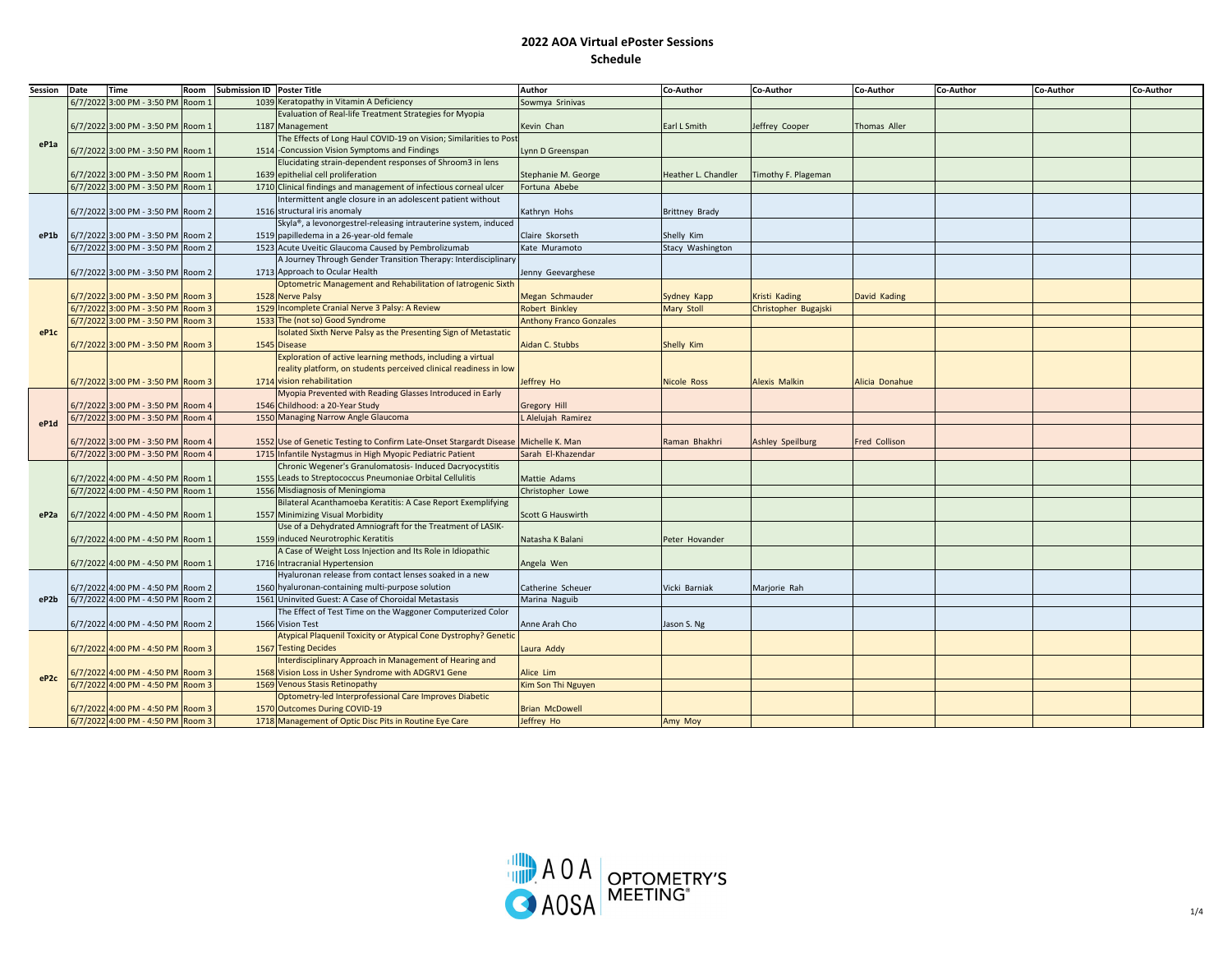| Session          | Date | <b>Time</b>                       | Room   | Submission ID Poster Title |                                                                                     | Author                         | Co-Author             | Co-Author                  | Co-Author      | Co-Author | Co-Author | Co-Author |
|------------------|------|-----------------------------------|--------|----------------------------|-------------------------------------------------------------------------------------|--------------------------------|-----------------------|----------------------------|----------------|-----------|-----------|-----------|
|                  |      | 6/7/2022 3:00 PM - 3:50 PM        | Room:  |                            | 1039 Keratopathy in Vitamin A Deficiency                                            | Sowmya Srinivas                |                       |                            |                |           |           |           |
| eP1a             |      |                                   |        |                            | Evaluation of Real-life Treatment Strategies for Myopia                             |                                |                       |                            |                |           |           |           |
|                  |      | 6/7/2022 3:00 PM - 3:50 PM Room:  |        |                            | 1187 Management                                                                     | Kevin Chan                     | Earl L Smith          | leffrey Cooper             | Thomas Aller   |           |           |           |
|                  |      |                                   |        |                            | The Effects of Long Haul COVID-19 on Vision; Similarities to Post                   |                                |                       |                            |                |           |           |           |
|                  |      | 6/7/2022 3:00 PM - 3:50 PM Room 1 |        |                            | 1514 - Concussion Vision Symptoms and Findings                                      | Lynn D Greenspan               |                       |                            |                |           |           |           |
|                  |      |                                   |        |                            | Elucidating strain-dependent responses of Shroom3 in lens                           |                                |                       |                            |                |           |           |           |
|                  |      | 6/7/2022 3:00 PM - 3:50 PM Room 1 |        |                            | 1639 epithelial cell proliferation                                                  | Stephanie M. George            | Heather L. Chandler   | <b>Timothy F. Plageman</b> |                |           |           |           |
|                  |      | 6/7/2022 3:00 PM - 3:50 PM        | Room 1 |                            | 1710 Clinical findings and management of infectious corneal ulcer                   | Fortuna Abebe                  |                       |                            |                |           |           |           |
|                  |      |                                   |        |                            | Intermittent angle closure in an adolescent patient without                         |                                |                       |                            |                |           |           |           |
|                  |      | 6/7/2022 3:00 PM - 3:50 PM Room 2 |        |                            | 1516 structural iris anomaly                                                        | Kathryn Hohs                   | <b>Brittney Brady</b> |                            |                |           |           |           |
|                  |      |                                   |        |                            | Skyla®, a levonorgestrel-releasing intrauterine system, induced                     |                                |                       |                            |                |           |           |           |
| eP1b             |      | 6/7/2022 3:00 PM - 3:50 PM Room 2 |        |                            | 1519 papilledema in a 26-year-old female                                            | Claire Skorseth                | Shelly Kim            |                            |                |           |           |           |
|                  |      | 6/7/2022 3:00 PM - 3:50 PM Room 2 |        |                            | 1523 Acute Uveitic Glaucoma Caused by Pembrolizumab                                 | Kate Muramoto                  | Stacy Washington      |                            |                |           |           |           |
|                  |      |                                   |        |                            | A Journey Through Gender Transition Therapy: Interdisciplinary                      |                                |                       |                            |                |           |           |           |
|                  |      | 6/7/2022 3:00 PM - 3:50 PM Room 2 |        |                            | 1713 Approach to Ocular Health                                                      | Jenny Geevarghese              |                       |                            |                |           |           |           |
|                  |      |                                   |        |                            | Optometric Management and Rehabilitation of latrogenic Sixth                        |                                |                       |                            |                |           |           |           |
|                  |      | 6/7/2022 3:00 PM - 3:50 PM Room 3 |        |                            | 1528 Nerve Palsy                                                                    | Megan Schmauder                | Sydney Kapp           | Kristi Kading              | David Kading   |           |           |           |
|                  |      | 6/7/2022 3:00 PM - 3:50 PM Room 3 |        |                            | 1529 Incomplete Cranial Nerve 3 Palsy: A Review                                     | <b>Robert Binkley</b>          | Mary Stoll            | Christopher Bugajski       |                |           |           |           |
|                  |      | 6/7/2022 3:00 PM - 3:50 PM        | Room 3 |                            | 1533 The (not so) Good Syndrome                                                     | <b>Anthony Franco Gonzales</b> |                       |                            |                |           |           |           |
| eP1c             |      |                                   |        |                            | solated Sixth Nerve Palsy as the Presenting Sign of Metastatic                      |                                |                       |                            |                |           |           |           |
|                  |      | 6/7/2022 3:00 PM - 3:50 PM Room 3 |        |                            | 1545 Disease                                                                        | Aidan C. Stubbs                | Shelly Kim            |                            |                |           |           |           |
|                  |      |                                   |        |                            | Exploration of active learning methods, including a virtual                         |                                |                       |                            |                |           |           |           |
|                  |      |                                   |        |                            | reality platform, on students perceived clinical readiness in low                   |                                |                       |                            |                |           |           |           |
|                  |      | 6/7/2022 3:00 PM - 3:50 PM Room 3 |        |                            | 1714 vision rehabilitation                                                          | Jeffrey Ho                     | <b>Nicole Ross</b>    | <b>Alexis Malkin</b>       | Alicia Donahue |           |           |           |
|                  |      |                                   |        |                            | Myopia Prevented with Reading Glasses Introduced in Early                           |                                |                       |                            |                |           |           |           |
| eP1d             |      | 6/7/2022 3:00 PM - 3:50 PM Room 4 |        |                            | 1546 Childhood: a 20-Year Study                                                     | <b>Gregory Hill</b>            |                       |                            |                |           |           |           |
|                  |      | 6/7/2022 3:00 PM - 3:50 PM Room 4 |        |                            | 1550 Managing Narrow Angle Glaucoma                                                 | L Alelujah Ramirez             |                       |                            |                |           |           |           |
|                  |      |                                   |        |                            |                                                                                     |                                |                       |                            |                |           |           |           |
|                  |      | 6/7/2022 3:00 PM - 3:50 PM Room 4 |        |                            | 1552 Use of Genetic Testing to Confirm Late-Onset Stargardt Disease Michelle K. Man |                                | Raman Bhakhri         | Ashley Speilburg           | Fred Collison  |           |           |           |
|                  |      | 6/7/2022 3:00 PM - 3:50 PM        | Room   |                            | 1715 Infantile Nystagmus in High Myopic Pediatric Patient                           | Sarah El-Khazendar             |                       |                            |                |           |           |           |
|                  |      |                                   |        |                            | Chronic Wegener's Granulomatosis- Induced Dacryocystitis                            |                                |                       |                            |                |           |           |           |
|                  |      | 6/7/2022 4:00 PM - 4:50 PM Room 1 |        |                            | 1555 Leads to Streptococcus Pneumoniae Orbital Cellulitis                           | Mattie Adams                   |                       |                            |                |           |           |           |
|                  |      | 6/7/2022 4:00 PM - 4:50 PM Room 1 |        |                            | 1556 Misdiagnosis of Meningioma                                                     | Christopher Lowe               |                       |                            |                |           |           |           |
|                  |      |                                   |        |                            | Bilateral Acanthamoeba Keratitis: A Case Report Exemplifying                        |                                |                       |                            |                |           |           |           |
| eP <sub>2a</sub> |      | 6/7/2022 4:00 PM - 4:50 PM Room:  |        |                            | 1557 Minimizing Visual Morbidity                                                    | Scott G Hauswirth              |                       |                            |                |           |           |           |
|                  |      |                                   |        |                            | Use of a Dehydrated Amniograft for the Treatment of LASIK-                          |                                |                       |                            |                |           |           |           |
|                  |      | 6/7/2022 4:00 PM - 4:50 PM Room 1 |        |                            | 1559 induced Neurotrophic Keratitis                                                 | Natasha K Balani               | Peter Hovander        |                            |                |           |           |           |
|                  |      |                                   |        |                            | A Case of Weight Loss Injection and Its Role in Idiopathic                          |                                |                       |                            |                |           |           |           |
|                  |      | 6/7/2022 4:00 PM - 4:50 PM Room 1 |        |                            | 1716 Intracranial Hypertension                                                      | Angela Wen                     |                       |                            |                |           |           |           |
|                  |      |                                   |        |                            | Hyaluronan release from contact lenses soaked in a new                              |                                |                       |                            |                |           |           |           |
|                  |      | 6/7/2022 4:00 PM - 4:50 PM Room 2 |        |                            | 1560 hyaluronan-containing multi-purpose solution                                   | Catherine Scheuer              | Vicki Barniak         | Marjorie Rah               |                |           |           |           |
| eP2b             |      | 6/7/2022 4:00 PM - 4:50 PM Room 2 |        |                            | 1561 Uninvited Guest: A Case of Choroidal Metastasis                                | Marina Naguib                  |                       |                            |                |           |           |           |
|                  |      |                                   |        |                            | The Effect of Test Time on the Waggoner Computerized Color                          |                                |                       |                            |                |           |           |           |
|                  |      | 6/7/2022 4:00 PM - 4:50 PM Room 2 |        |                            | 1566 Vision Test                                                                    | Anne Arah Cho                  | Jason S. Ng           |                            |                |           |           |           |
|                  |      |                                   |        |                            | Atypical Plaquenil Toxicity or Atypical Cone Dystrophy? Genetic                     |                                |                       |                            |                |           |           |           |
|                  |      | 6/7/2022 4:00 PM - 4:50 PM Room 3 |        |                            | 1567 Testing Decides                                                                | Laura Addy                     |                       |                            |                |           |           |           |
| eP <sub>2c</sub> |      |                                   |        |                            | Interdisciplinary Approach in Management of Hearing and                             |                                |                       |                            |                |           |           |           |
|                  |      | 5/7/2022 4:00 PM - 4:50 PM Room 3 |        |                            | 1568 Vision Loss in Usher Syndrome with ADGRV1 Gene                                 | Alice Lim                      |                       |                            |                |           |           |           |
|                  |      | 6/7/2022 4:00 PM - 4:50 PM Room 3 |        |                            | 1569 Venous Stasis Retinopathy                                                      | Kim Son Thi Nguyen             |                       |                            |                |           |           |           |
|                  |      |                                   |        |                            | Optometry-led Interprofessional Care Improves Diabetic                              |                                |                       |                            |                |           |           |           |
|                  |      | 6/7/2022 4:00 PM - 4:50 PM Room 3 |        |                            | 1570 Outcomes During COVID-19                                                       | <b>Brian McDowell</b>          |                       |                            |                |           |           |           |
|                  |      | 6/7/2022 4:00 PM - 4:50 PM Room 3 |        |                            | 1718 Management of Optic Disc Pits in Routine Eye Care                              | Jeffrey Ho                     | Amy Moy               |                            |                |           |           |           |

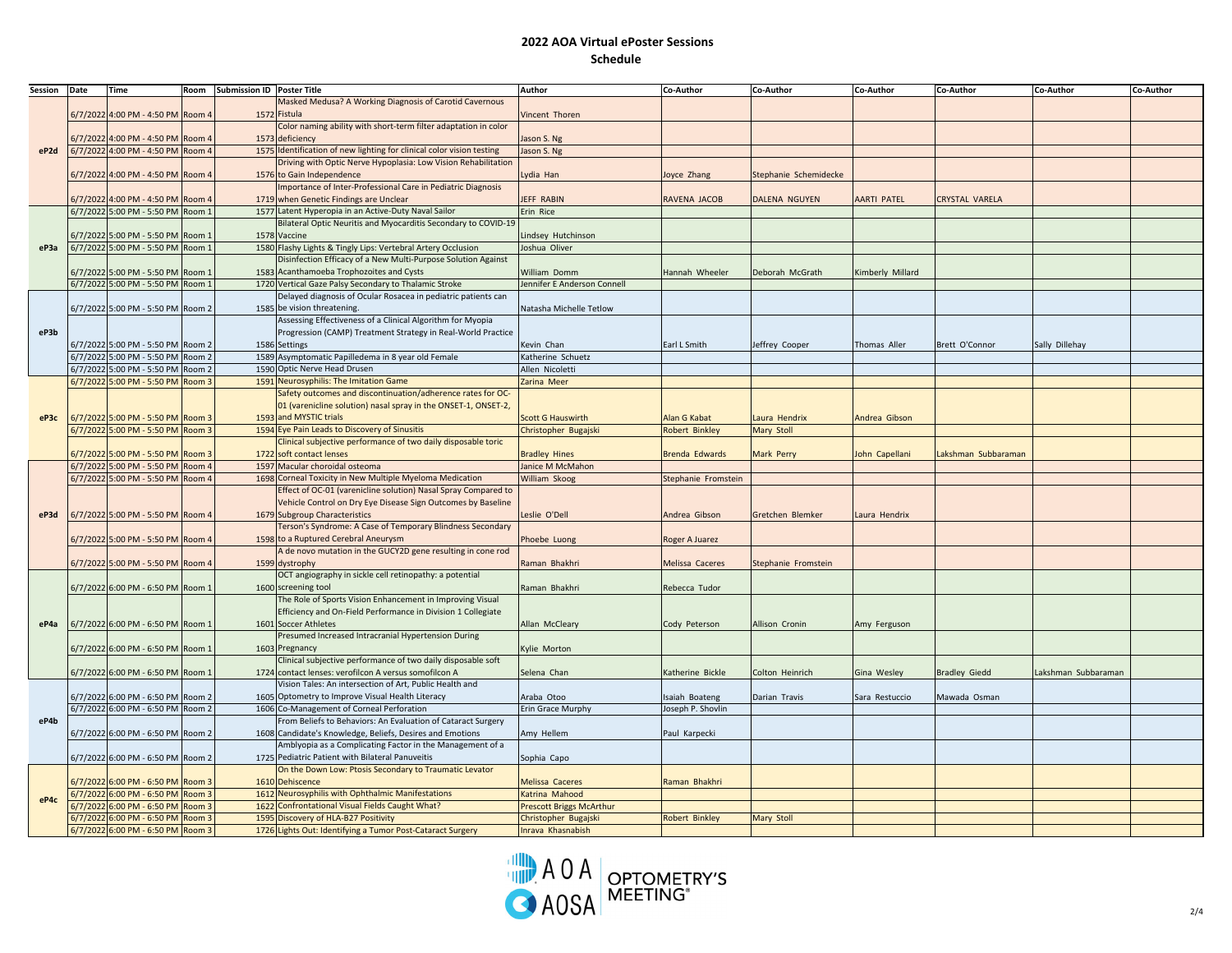| Session | Date    | Time                              | Room              | Submission ID Poster Title |                                                                               | <b>Author</b>               | Co-Author              | Co-Author             | Co-Author          | Co-Author           | Co-Author          | Co-Author |
|---------|---------|-----------------------------------|-------------------|----------------------------|-------------------------------------------------------------------------------|-----------------------------|------------------------|-----------------------|--------------------|---------------------|--------------------|-----------|
|         |         |                                   |                   |                            | Masked Medusa? A Working Diagnosis of Carotid Cavernous                       |                             |                        |                       |                    |                     |                    |           |
| eP2d    |         | 6/7/2022 4:00 PM - 4:50 PM Room 4 |                   |                            | 1572 Fistula                                                                  | Vincent Thoren              |                        |                       |                    |                     |                    |           |
|         |         |                                   |                   |                            | Color naming ability with short-term filter adaptation in color               |                             |                        |                       |                    |                     |                    |           |
|         |         | 6/7/2022 4:00 PM - 4:50 PM        | Room 4            |                            | 1573 deficiency                                                               | lason S. Ng                 |                        |                       |                    |                     |                    |           |
|         |         | 6/7/2022 4:00 PM - 4:50 PM Room 4 |                   |                            | 1575 Identification of new lighting for clinical color vision testing         | Jason S. Ng                 |                        |                       |                    |                     |                    |           |
|         |         |                                   |                   |                            | Driving with Optic Nerve Hypoplasia: Low Vision Rehabilitation                |                             |                        |                       |                    |                     |                    |           |
|         |         | 6/7/2022 4:00 PM - 4:50 PM Room 4 |                   |                            | 1576 to Gain Independence                                                     | ydia Han                    | oyce Zhang             | Stephanie Schemidecke |                    |                     |                    |           |
|         |         |                                   |                   |                            | mportance of Inter-Professional Care in Pediatric Diagnosis                   |                             |                        |                       |                    |                     |                    |           |
|         |         | 6/7/2022 4:00 PM - 4:50 PM        | Room 4            |                            | 1719 when Genetic Findings are Unclear                                        | JEFF RABIN                  | RAVENA JACOB           | DALENA NGUYEN         | <b>AARTI PATEL</b> | CRYSTAL VARELA      |                    |           |
|         |         | 6/7/2022 5:00 PM - 5:50 PM Room 1 |                   |                            | 1577 Latent Hyperopia in an Active-Duty Naval Sailor                          | Erin Rice                   |                        |                       |                    |                     |                    |           |
|         |         |                                   |                   |                            | Bilateral Optic Neuritis and Myocarditis Secondary to COVID-19                |                             |                        |                       |                    |                     |                    |           |
|         |         | 6/7/2022 5:00 PM - 5:50 PM Room 1 |                   |                            | 1578 Vaccine                                                                  | indsey Hutchinson           |                        |                       |                    |                     |                    |           |
| eP3a    |         | 6/7/2022 5:00 PM - 5:50 PM Room 1 |                   |                            | 1580 Flashy Lights & Tingly Lips: Vertebral Artery Occlusion                  | Joshua Oliver               |                        |                       |                    |                     |                    |           |
|         |         |                                   |                   |                            | Disinfection Efficacy of a New Multi-Purpose Solution Against                 |                             |                        |                       |                    |                     |                    |           |
|         |         | 6/7/2022 5:00 PM - 5:50 PM Room 1 |                   |                            | 1583 Acanthamoeba Trophozoites and Cysts                                      | <b>William Domm</b>         | Hannah Wheeler         | Deborah McGrath       | Kimberly Millard   |                     |                    |           |
|         |         | 6/7/2022 5:00 PM - 5:50 PM Room 1 |                   |                            | 1720 Vertical Gaze Palsy Secondary to Thalamic Stroke                         | Jennifer E Anderson Connell |                        |                       |                    |                     |                    |           |
|         |         |                                   |                   |                            | Delayed diagnosis of Ocular Rosacea in pediatric patients can                 |                             |                        |                       |                    |                     |                    |           |
|         |         | 6/7/2022 5:00 PM - 5:50 PM Room 2 |                   |                            | 1585 be vision threatening.                                                   | Natasha Michelle Tetlow     |                        |                       |                    |                     |                    |           |
|         |         |                                   |                   |                            | Assessing Effectiveness of a Clinical Algorithm for Myopia                    |                             |                        |                       |                    |                     |                    |           |
| eP3b    |         |                                   |                   |                            | Progression (CAMP) Treatment Strategy in Real-World Practice                  |                             |                        |                       |                    |                     |                    |           |
|         |         | 6/7/2022 5:00 PM - 5:50 PM Room 2 |                   |                            | 1586 Settings                                                                 | Kevin Chan                  | Earl L Smith           | Jeffrey Cooper        | Thomas Aller       | Brett O'Connor      | Sally Dillehay     |           |
|         |         | 6/7/2022 5:00 PM - 5:50 PM Room 2 |                   |                            | 1589 Asymptomatic Papilledema in 8 year old Female                            | Katherine Schuetz           |                        |                       |                    |                     |                    |           |
|         |         | 6/7/2022 5:00 PM - 5:50 PM        | Room <sub>2</sub> |                            | 1590 Optic Nerve Head Drusen                                                  | Allen Nicoletti             |                        |                       |                    |                     |                    |           |
| eP3c    |         | 6/7/2022 5:00 PM - 5:50 PM Room 3 |                   |                            | 1591 Neurosyphilis: The Imitation Game                                        | Zarina Meer                 |                        |                       |                    |                     |                    |           |
|         |         |                                   |                   |                            | Safety outcomes and discontinuation/adherence rates for OC-                   |                             |                        |                       |                    |                     |                    |           |
|         |         |                                   |                   |                            | 01 (varenicline solution) nasal spray in the ONSET-1, ONSET-2,                |                             |                        |                       |                    |                     |                    |           |
|         |         | 6/7/2022 5:00 PM - 5:50 PM        | Room 3            |                            | 1593 and MYSTIC trials                                                        | <b>Scott G Hauswirth</b>    | <b>Nan G Kabat</b>     | aura Hendrix          | Andrea Gibson      |                     |                    |           |
|         |         | 6/7/2022 5:00 PM - 5:50 PM        | Room 3            |                            | 1594 Eye Pain Leads to Discovery of Sinusitis                                 | Christopher Bugajski        | <b>Robert Binkley</b>  | Mary Stoll            |                    |                     |                    |           |
|         |         |                                   |                   |                            | Clinical subjective performance of two daily disposable toric                 |                             |                        |                       |                    |                     |                    |           |
|         |         | 6/7/2022 5:00 PM - 5:50 PM Room 3 |                   |                            | 1722 soft contact lenses                                                      | <b>Bradley Hines</b>        | Brenda Edwards         | Mark Perry            | John Capellani     | Lakshman Subbaraman |                    |           |
|         |         | 6/7/2022 5:00 PM - 5:50 PM Room 4 |                   |                            | 1597 Macular choroidal osteoma                                                | Janice M McMahon            |                        |                       |                    |                     |                    |           |
|         |         | 6/7/2022 5:00 PM - 5:50 PM        | Room 4            |                            | 1698 Corneal Toxicity in New Multiple Myeloma Medication                      | William Skoog               | Stephanie Fromstein    |                       |                    |                     |                    |           |
|         |         |                                   |                   |                            | Effect of OC-01 (varenicline solution) Nasal Spray Compared to                |                             |                        |                       |                    |                     |                    |           |
|         |         |                                   |                   |                            | Vehicle Control on Dry Eye Disease Sign Outcomes by Baseline                  |                             |                        |                       |                    |                     |                    |           |
| eP3d    |         | 6/7/2022 5:00 PM - 5:50 PM Room 4 |                   |                            | 1679 Subgroup Characteristics                                                 | eslie O'Dell                | Andrea Gibson          | Gretchen Blemker      | Laura Hendrix      |                     |                    |           |
|         |         |                                   |                   |                            | Terson's Syndrome: A Case of Temporary Blindness Secondary                    |                             |                        |                       |                    |                     |                    |           |
|         |         | 6/7/2022 5:00 PM - 5:50 PM Room 4 |                   |                            | 1598 to a Ruptured Cerebral Aneurysm                                          | Phoebe Luong                | Roger A Juarez         |                       |                    |                     |                    |           |
|         |         |                                   |                   |                            | A de novo mutation in the GUCY2D gene resulting in cone rod<br>1599 dystrophy | Raman Bhakhri               |                        |                       |                    |                     |                    |           |
|         |         | 6/7/2022 5:00 PM - 5:50 PM Room 4 |                   |                            | OCT angiography in sickle cell retinopathy: a potential                       |                             | <b>Melissa Caceres</b> | Stephanie Fromstein   |                    |                     |                    |           |
|         |         | 6/7/2022 6:00 PM - 6:50 PM Room 1 |                   |                            | 1600 screening tool                                                           | Raman Bhakhri               |                        |                       |                    |                     |                    |           |
|         |         |                                   |                   |                            | The Role of Sports Vision Enhancement in Improving Visual                     |                             | Rebecca Tudor          |                       |                    |                     |                    |           |
|         |         |                                   |                   |                            | Efficiency and On-Field Performance in Division 1 Collegiate                  |                             |                        |                       |                    |                     |                    |           |
| eP4a    |         | 6/7/2022 6:00 PM - 6:50 PM Room 1 |                   |                            | 1601 Soccer Athletes                                                          | Allan McCleary              | Cody Peterson          | Allison Cronin        | Amy Ferguson       |                     |                    |           |
|         |         |                                   |                   |                            | Presumed Increased Intracranial Hypertension During                           |                             |                        |                       |                    |                     |                    |           |
|         |         | 6/7/2022 6:00 PM - 6:50 PM Room 1 |                   |                            | 1603 Pregnancy                                                                | Kylie Morton                |                        |                       |                    |                     |                    |           |
|         |         |                                   |                   |                            | Clinical subjective performance of two daily disposable soft                  |                             |                        |                       |                    |                     |                    |           |
|         |         | 6/7/2022 6:00 PM - 6:50 PM Room 1 |                   |                            | 1724 contact lenses: verofilcon A versus somofilcon A                         | Selena Chan                 | Katherine Bickle       | Colton Heinrich       | Gina Wesley        | Bradley Giedd       | akshman Subbaraman |           |
|         |         |                                   |                   |                            | Vision Tales: An intersection of Art, Public Health and                       |                             |                        |                       |                    |                     |                    |           |
|         |         | 6/7/2022 6:00 PM - 6:50 PM Room 2 |                   |                            | 1605 Optometry to Improve Visual Health Literacy                              | Araba Otoo                  | saiah Boateng          | Darian Travis         | Sara Restuccio     | Mawada Osman        |                    |           |
|         |         | 6/7/2022 6:00 PM - 6:50 PM Room 2 |                   |                            | 1606 Co-Management of Corneal Perforation                                     | Erin Grace Murphy           | oseph P. Shovlin       |                       |                    |                     |                    |           |
| eP4b    |         |                                   |                   |                            | From Beliefs to Behaviors: An Evaluation of Cataract Surgery                  |                             |                        |                       |                    |                     |                    |           |
|         |         | 6/7/2022 6:00 PM - 6:50 PM Room 2 |                   |                            | 1608 Candidate's Knowledge, Beliefs, Desires and Emotions                     | Amy Hellem                  | Paul Karpecki          |                       |                    |                     |                    |           |
|         |         |                                   |                   |                            | Amblyopia as a Complicating Factor in the Management of a                     |                             |                        |                       |                    |                     |                    |           |
|         |         | 6/7/2022 6:00 PM - 6:50 PM Room 2 |                   |                            | 1725 Pediatric Patient with Bilateral Panuveitis                              | Sophia Capo                 |                        |                       |                    |                     |                    |           |
|         |         |                                   |                   |                            | On the Down Low: Ptosis Secondary to Traumatic Levator                        |                             |                        |                       |                    |                     |                    |           |
|         |         | 6/7/2022 6:00 PM - 6:50 PM Room 3 |                   |                            | 1610 Dehiscence                                                               | <b>Melissa Caceres</b>      | Raman Bhakhri          |                       |                    |                     |                    |           |
|         | 6/7/202 | 6:00 PM - 6:50 PM Room 3          |                   |                            | 1612 Neurosyphilis with Ophthalmic Manifestations                             | Katrina Mahood              |                        |                       |                    |                     |                    |           |
| eP4c    | 6/7/202 | 6:00 PM - 6:50 PM                 | Room 3            |                            | 1622 Confrontational Visual Fields Caught What?                               | Prescott Briggs McArthur    |                        |                       |                    |                     |                    |           |
|         |         | 6/7/2022 6:00 PM - 6:50 PM        | Room 3            |                            | 1595 Discovery of HLA-B27 Positivity                                          | Christopher Bugajski        | <b>Robert Binkley</b>  | Mary Stoll            |                    |                     |                    |           |
|         |         | 6/7/2022 6:00 PM - 6:50 PM Room 3 |                   |                            | 1726 Lights Out: Identifying a Tumor Post-Cataract Surgery                    | Inrava Khasnabish           |                        |                       |                    |                     |                    |           |

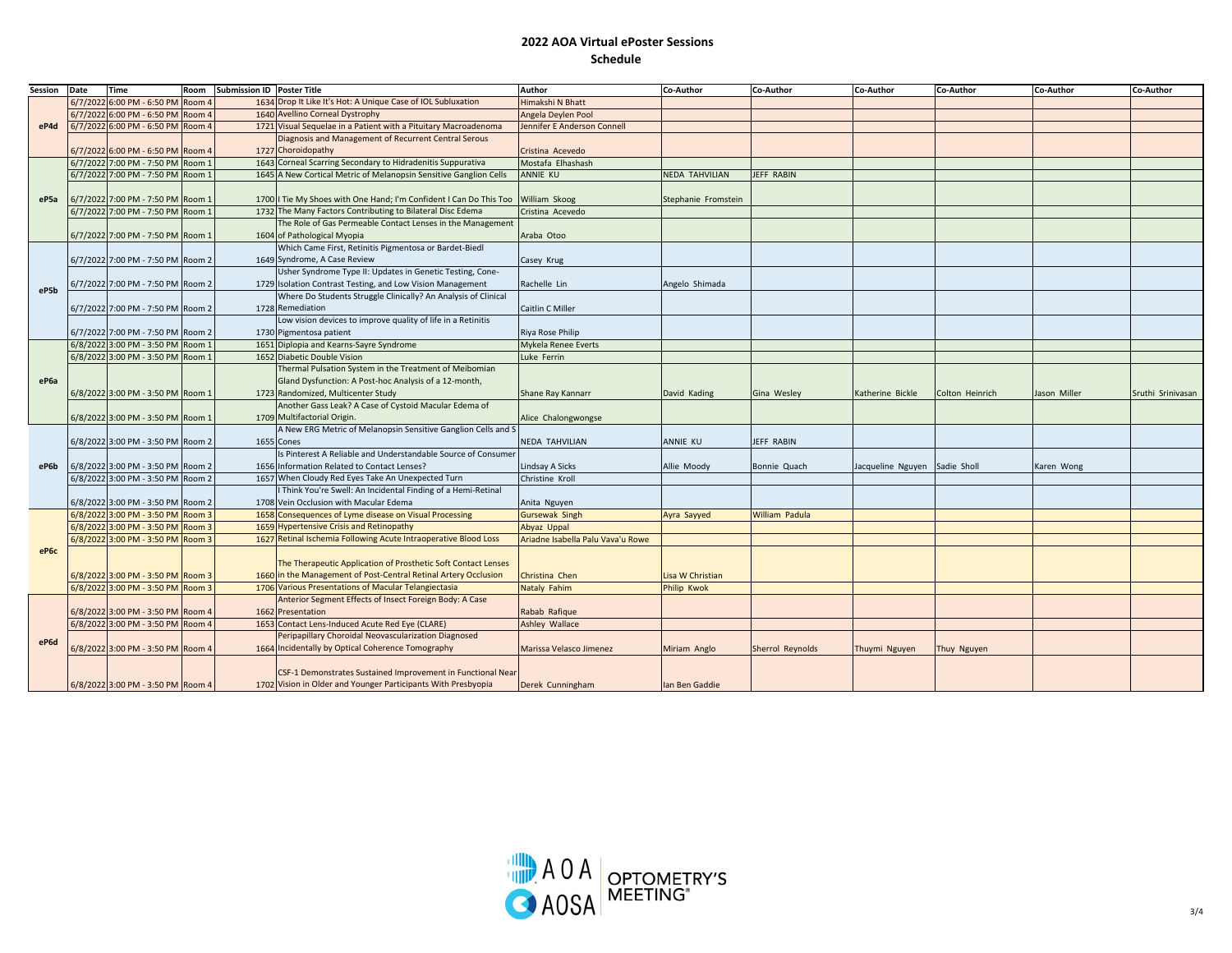| Session          | Date    | Time                              | Room   | <b>Submission ID Poster Title</b> |                                                                    | Author                            | Co-Author           | Co-Author        | Co-Author                     | Co-Author       | Co-Author    | Co-Author         |
|------------------|---------|-----------------------------------|--------|-----------------------------------|--------------------------------------------------------------------|-----------------------------------|---------------------|------------------|-------------------------------|-----------------|--------------|-------------------|
| eP4d             | 6/7/202 | 6:00 PM - 6:50 PM                 | Room   |                                   | 1634 Drop It Like It's Hot: A Unique Case of IOL Subluxation       | Himakshi N Bhatt                  |                     |                  |                               |                 |              |                   |
|                  |         | 6/7/2022 6:00 PM - 6:50 PM        | Room 4 |                                   | 1640 Avellino Corneal Dystrophy                                    | Angela Deylen Pool                |                     |                  |                               |                 |              |                   |
|                  |         | 6/7/2022 6:00 PM - 6:50 PM        | Room 4 |                                   | 1721 Visual Sequelae in a Patient with a Pituitary Macroadenoma    | Jennifer E Anderson Connell       |                     |                  |                               |                 |              |                   |
|                  |         |                                   |        |                                   | Diagnosis and Management of Recurrent Central Serous               |                                   |                     |                  |                               |                 |              |                   |
|                  |         | 6/7/2022 6:00 PM - 6:50 PM Room 4 |        |                                   | 1727 Choroidopathy                                                 | Cristina Acevedo                  |                     |                  |                               |                 |              |                   |
|                  |         | 6/7/2022 7:00 PM - 7:50 PM        | Room 1 |                                   | 1643 Corneal Scarring Secondary to Hidradenitis Suppurativa        | Mostafa Elhashash                 |                     |                  |                               |                 |              |                   |
|                  |         | 6/7/2022 7:00 PM - 7:50 PM        | Room 1 |                                   | 1645 A New Cortical Metric of Melanopsin Sensitive Ganglion Cells  | ANNIE KU                          | NEDA TAHVILIAN      | JEFF RABIN       |                               |                 |              |                   |
|                  |         |                                   |        |                                   |                                                                    |                                   |                     |                  |                               |                 |              |                   |
| eP <sub>5a</sub> |         | 6/7/2022 7:00 PM - 7:50 PM Room 1 |        |                                   | 1700   Tie My Shoes with One Hand; I'm Confident I Can Do This Too | William Skoog                     | Stephanie Fromstein |                  |                               |                 |              |                   |
|                  |         | 6/7/2022 7:00 PM - 7:50 PM        | Room 1 |                                   | 1732 The Many Factors Contributing to Bilateral Disc Edema         | Cristina Acevedo                  |                     |                  |                               |                 |              |                   |
|                  |         |                                   |        |                                   | The Role of Gas Permeable Contact Lenses in the Management         |                                   |                     |                  |                               |                 |              |                   |
|                  |         | 6/7/2022 7:00 PM - 7:50 PM Room 1 |        |                                   | 1604 of Pathological Myopia                                        | Araba Otoo                        |                     |                  |                               |                 |              |                   |
|                  |         |                                   |        |                                   | Which Came First, Retinitis Pigmentosa or Bardet-Biedl             |                                   |                     |                  |                               |                 |              |                   |
|                  |         | 6/7/2022 7:00 PM - 7:50 PM Room 2 |        |                                   | 1649 Syndrome, A Case Review                                       | Casey Krug                        |                     |                  |                               |                 |              |                   |
|                  |         |                                   |        |                                   | Usher Syndrome Type II: Updates in Genetic Testing, Cone-          |                                   |                     |                  |                               |                 |              |                   |
|                  |         | 5/7/2022 7:00 PM - 7:50 PM Room 2 |        |                                   | 1729 Isolation Contrast Testing, and Low Vision Management         | Rachelle Lin                      | Angelo Shimada      |                  |                               |                 |              |                   |
| eP5b             |         |                                   |        |                                   | Where Do Students Struggle Clinically? An Analysis of Clinical     |                                   |                     |                  |                               |                 |              |                   |
|                  |         | 6/7/2022 7:00 PM - 7:50 PM Room 2 |        |                                   | 1728 Remediation                                                   | Caitlin C Miller                  |                     |                  |                               |                 |              |                   |
| eP6a             |         |                                   |        |                                   | Low vision devices to improve quality of life in a Retinitis       |                                   |                     |                  |                               |                 |              |                   |
|                  |         | 6/7/2022 7:00 PM - 7:50 PM Room 2 |        |                                   | 1730 Pigmentosa patient                                            | Riya Rose Philip                  |                     |                  |                               |                 |              |                   |
|                  |         | 6/8/2022 3:00 PM - 3:50 PM        | Room 1 |                                   | 1651 Diplopia and Kearns-Sayre Syndrome                            | Mykela Renee Everts               |                     |                  |                               |                 |              |                   |
|                  |         | 6/8/2022 3:00 PM - 3:50 PM Room 1 |        |                                   | 1652 Diabetic Double Vision                                        | Luke Ferrin                       |                     |                  |                               |                 |              |                   |
|                  |         |                                   |        |                                   | Thermal Pulsation System in the Treatment of Meibomian             |                                   |                     |                  |                               |                 |              |                   |
|                  |         |                                   |        |                                   | Gland Dysfunction: A Post-hoc Analysis of a 12-month,              |                                   |                     |                  |                               |                 |              |                   |
|                  |         | 6/8/2022 3:00 PM - 3:50 PM Room 1 |        |                                   | 1723 Randomized, Multicenter Study                                 | Shane Ray Kannarr                 | David Kading        | Gina Wesley      | Katherine Bickle              | Colton Heinrich | Jason Miller | Sruthi Srinivasan |
|                  |         |                                   |        |                                   | Another Gass Leak? A Case of Cystoid Macular Edema of              |                                   |                     |                  |                               |                 |              |                   |
|                  |         | 6/8/2022 3:00 PM - 3:50 PM Room 1 |        |                                   | 1709 Multifactorial Origin.                                        | Alice Chalongwongse               |                     |                  |                               |                 |              |                   |
|                  |         |                                   |        |                                   | A New ERG Metric of Melanopsin Sensitive Ganglion Cells and S      |                                   |                     |                  |                               |                 |              |                   |
|                  |         | 6/8/2022 3:00 PM - 3:50 PM Room 2 |        |                                   | 1655 Cones                                                         | NEDA TAHVILIAN                    | ANNIE KU            | JEFF RABIN       |                               |                 |              |                   |
|                  |         |                                   |        |                                   | Is Pinterest A Reliable and Understandable Source of Consumer      |                                   |                     |                  |                               |                 |              |                   |
| eP6b             |         | 6/8/2022 3:00 PM - 3:50 PM Room 2 |        |                                   | 1656 Information Related to Contact Lenses?                        | indsay A Sicks                    | Allie Moody         | Bonnie Quach     | Jacqueline Nguyen Sadie Sholl |                 | Karen Wong   |                   |
|                  |         | 6/8/2022 3:00 PM - 3:50 PM Room 2 |        |                                   | 1657 When Cloudy Red Eyes Take An Unexpected Turn                  | Christine Kroll                   |                     |                  |                               |                 |              |                   |
|                  |         |                                   |        |                                   | Think You're Swell: An Incidental Finding of a Hemi-Retinal        |                                   |                     |                  |                               |                 |              |                   |
|                  |         | 6/8/2022 3:00 PM - 3:50 PM Room 2 |        |                                   | 1708 Vein Occlusion with Macular Edema                             | Anita Nguyen                      |                     |                  |                               |                 |              |                   |
|                  |         | 6/8/2022 3:00 PM - 3:50 PM Room 3 |        |                                   | 1658 Consequences of Lyme disease on Visual Processing             | <b>Gursewak Singh</b>             | Ayra Sayyed         | William Padula   |                               |                 |              |                   |
|                  |         | 6/8/2022 3:00 PM - 3:50 PM Room 3 |        |                                   | 1659 Hypertensive Crisis and Retinopathy                           | Abyaz Uppal                       |                     |                  |                               |                 |              |                   |
|                  |         | 6/8/2022 3:00 PM - 3:50 PM Room 3 |        |                                   | 1627 Retinal Ischemia Following Acute Intraoperative Blood Loss    | Ariadne Isabella Palu Vava'u Rowe |                     |                  |                               |                 |              |                   |
| eP6c             |         |                                   |        |                                   |                                                                    |                                   |                     |                  |                               |                 |              |                   |
|                  |         |                                   |        |                                   | The Therapeutic Application of Prosthetic Soft Contact Lenses      |                                   |                     |                  |                               |                 |              |                   |
|                  |         | 6/8/2022 3:00 PM - 3:50 PM Room 3 |        |                                   | 1660 in the Management of Post-Central Retinal Artery Occlusion    | Christina Chen                    | Lisa W Christian    |                  |                               |                 |              |                   |
|                  |         | 6/8/2022 3:00 PM - 3:50 PM Room 3 |        |                                   | 1706 Various Presentations of Macular Telangiectasia               | Nataly Fahim                      | Philip Kwok         |                  |                               |                 |              |                   |
|                  |         |                                   |        |                                   | Anterior Segment Effects of Insect Foreign Body: A Case            |                                   |                     |                  |                               |                 |              |                   |
|                  |         | 6/8/2022 3:00 PM - 3:50 PM Room 4 |        |                                   | 1662 Presentation                                                  | Rabab Rafique                     |                     |                  |                               |                 |              |                   |
| eP6d             |         | 6/8/2022 3:00 PM - 3:50 PM Room 4 |        |                                   | 1653 Contact Lens-Induced Acute Red Eye (CLARE)                    | <b>Ashley Wallace</b>             |                     |                  |                               |                 |              |                   |
|                  |         |                                   |        |                                   | Peripapillary Choroidal Neovascularization Diagnosed               |                                   |                     |                  |                               |                 |              |                   |
|                  |         | 6/8/2022 3:00 PM - 3:50 PM Room 4 |        |                                   | 1664 Incidentally by Optical Coherence Tomography                  | Marissa Velasco Jimenez           | Miriam Anglo        | Sherrol Reynolds | Thuymi Nguyen                 | Thuy Nguyen     |              |                   |
|                  |         |                                   |        |                                   |                                                                    |                                   |                     |                  |                               |                 |              |                   |
|                  |         |                                   |        |                                   | CSF-1 Demonstrates Sustained Improvement in Functional Near        |                                   |                     |                  |                               |                 |              |                   |
|                  |         | 6/8/2022 3:00 PM - 3:50 PM Room 4 |        |                                   | 1702 Vision in Older and Younger Participants With Presbyopia      | Derek Cunningham                  | Ian Ben Gaddie      |                  |                               |                 |              |                   |
|                  |         |                                   |        |                                   |                                                                    |                                   |                     |                  |                               |                 |              |                   |